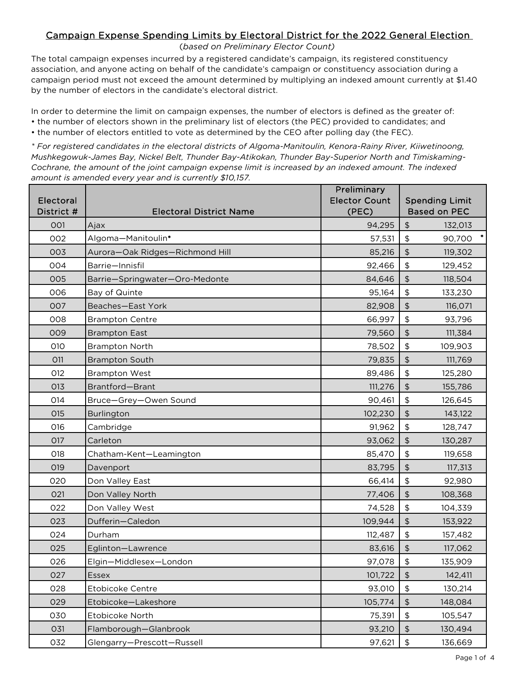#### (*based on Preliminary Elector Count)*

The total campaign expenses incurred by a registered candidate's campaign, its registered constituency association, and anyone acting on behalf of the candidate's campaign or constituency association during a campaign period must not exceed the amount determined by multiplying an indexed amount currently at \$1.40 by the number of electors in the candidate's electoral district.

In order to determine the limit on campaign expenses, the number of electors is defined as the greater of: • the number of electors shown in the preliminary list of electors (the PEC) provided to candidates; and • the number of electors entitled to vote as determined by the CEO after polling day (the FEC).

*\* For registered candidates in the electoral districts of Algoma-Manitoulin, Kenora-Rainy River, Kiiwetinoong, Mushkegowuk-James Bay, Nickel Belt, Thunder Bay-Atikokan, Thunder Bay-Superior North and Timiskaming-Cochrane, the amount of the joint campaign expense limit is increased by an indexed amount. The indexed amount is amended every year and is currently \$10,157.*

<span id="page-0-0"></span>

| Electoral<br>District # | <b>Electoral District Name</b>  | Preliminary<br><b>Elector Count</b><br>(PEC) | <b>Spending Limit</b><br><b>Based on PEC</b>         |
|-------------------------|---------------------------------|----------------------------------------------|------------------------------------------------------|
| 001                     | Ajax                            | 94,295                                       | $\updownarrow$<br>132,013                            |
| 002                     | Algoma-Manitoulin*              | 57,531                                       | $\frac{1}{2}$<br>90,700                              |
| 003                     | Aurora-Oak Ridges-Richmond Hill | 85,216                                       | $\updownarrow$<br>119,302                            |
| 004                     | Barrie-Innisfil                 | 92,466                                       | $\, \, \$$<br>129,452                                |
| 005                     | Barrie-Springwater-Oro-Medonte  | 84,646                                       | \$<br>118,504                                        |
| 006                     | Bay of Quinte                   | 95,164                                       | $\, \, \raisebox{12pt}{$\scriptstyle \$}$<br>133,230 |
| 007                     | Beaches-East York               | 82,908                                       | $\updownarrow$<br>116,071                            |
| 008                     | <b>Brampton Centre</b>          | 66,997                                       | $\, \, \raisebox{12pt}{$\scriptstyle \$}$<br>93,796  |
| 009                     | <b>Brampton East</b>            | 79,560                                       | $\frac{1}{2}$<br>111,384                             |
| 010                     | <b>Brampton North</b>           | 78,502                                       | $\, \, \$$<br>109,903                                |
| <b>O11</b>              | <b>Brampton South</b>           | 79,835                                       | $\updownarrow$<br>111,769                            |
| 012                     | <b>Brampton West</b>            | 89,486                                       | $\,$<br>125,280                                      |
| 013                     | Brantford-Brant                 | 111,276                                      | \$<br>155,786                                        |
| 014                     | Bruce-Grey-Owen Sound           | 90,461                                       | $\, \, \$$<br>126,645                                |
| 015                     | Burlington                      | 102,230                                      | $\updownarrow$<br>143,122                            |
| 016                     | Cambridge                       | 91,962                                       | $\, \, \$$<br>128,747                                |
| 017                     | Carleton                        | 93,062                                       | $\updownarrow$<br>130,287                            |
| 018                     | Chatham-Kent-Leamington         | 85,470                                       | $\, \, \$$<br>119,658                                |
| 019                     | Davenport                       | 83,795                                       | $\frac{1}{2}$<br>117,313                             |
| 020                     | Don Valley East                 | 66,414                                       | $\, \, \raisebox{12pt}{$\scriptstyle \$}$<br>92,980  |
| 021                     | Don Valley North                | 77,406                                       | $\updownarrow$<br>108,368                            |
| 022                     | Don Valley West                 | 74,528                                       | $\, \, \raisebox{12pt}{$\scriptstyle \$}$<br>104,339 |
| 023                     | Dufferin-Caledon                | 109,944                                      | $\updownarrow$<br>153,922                            |
| 024                     | Durham                          | 112,487                                      | $\frac{1}{2}$<br>157,482                             |
| 025                     | Eglinton-Lawrence               | 83,616                                       | $\updownarrow$<br>117,062                            |
| 026                     | Elgin-Middlesex-London          | 97,078                                       | $\, \, \$$<br>135,909                                |
| 027                     | Essex                           | 101,722                                      | \$<br>142,411                                        |
| 028                     | Etobicoke Centre                | 93,010                                       | $\, \, \$$<br>130,214                                |
| 029                     | Etobicoke-Lakeshore             | 105,774                                      | $\frac{1}{2}$<br>148,084                             |
| 030                     | Etobicoke North                 | 75,391                                       | $\updownarrow$<br>105,547                            |
| 031                     | Flamborough-Glanbrook           | 93,210                                       | $\updownarrow$<br>130,494                            |
| 032                     | Glengarry-Prescott-Russell      | 97,621                                       | \$<br>136,669                                        |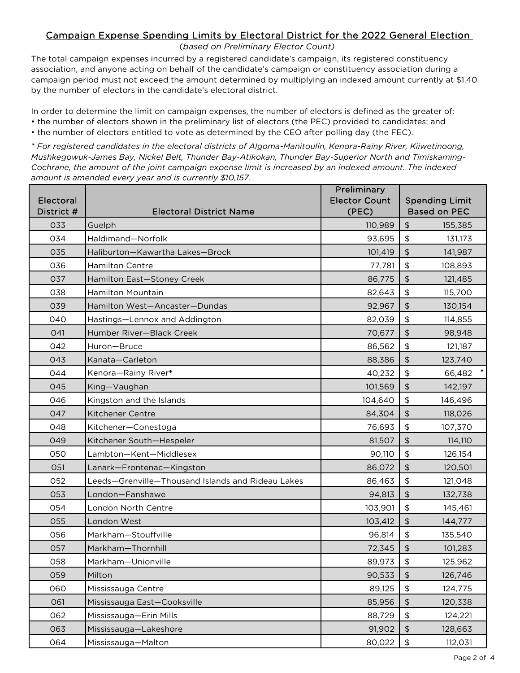#### (*based on Preliminary Elector Count)*

The total campaign expenses incurred by a registered candidate's campaign, its registered constituency association, and anyone acting on behalf of the candidate's campaign or constituency association during a campaign period must not exceed the amount determined by multiplying an indexed amount currently at \$1.40 by the number of electors in the candidate's electoral district.

In order to determine the limit on campaign expenses, the number of electors is defined as the greater of: • the number of electors shown in the preliminary list of electors (the PEC) provided to candidates; and • the number of electors entitled to vote as determined by the CEO after polling day (the FEC).

*\* For registered candidates in the electoral districts of Algoma-Manitoulin, Kenora-Rainy River, Kiiwetinoong, Mushkegowuk-James Bay, Nickel Belt, Thunder Bay-Atikokan, Thunder Bay-Superior North and Timiskaming-Cochrane, the amount of the joint campaign expense limit is increased by an indexed amount. The indexed amount is amended every year and is currently \$10,157.*

| Electoral<br>District # | <b>Electoral District Name</b>                    | Preliminary<br><b>Elector Count</b><br>(PEC) | <b>Spending Limit</b><br><b>Based on PEC</b>         |
|-------------------------|---------------------------------------------------|----------------------------------------------|------------------------------------------------------|
| 033                     | Guelph                                            | 110,989                                      | \$<br>155,385                                        |
| 034                     | Haldimand-Norfolk                                 | 93,695                                       | \$<br>131,173                                        |
| 035                     | Haliburton-Kawartha Lakes-Brock                   | 101,419                                      | $\updownarrow$<br>141,987                            |
| 036                     | Hamilton Centre                                   | 77,781                                       | $\frac{1}{2}$<br>108,893                             |
| 037                     | Hamilton East-Stoney Creek                        | 86,775                                       | $\frac{1}{2}$<br>121,485                             |
| 038                     | <b>Hamilton Mountain</b>                          | 82,643                                       | $\, \, \$$<br>115,700                                |
| 039                     | Hamilton West-Ancaster-Dundas                     | 92,967                                       | $\frac{1}{2}$<br>130,154                             |
| 040                     | Hastings-Lennox and Addington                     | 82,039                                       | \$<br>114,855                                        |
| 041                     | Humber River-Black Creek                          | 70,677                                       | $\frac{1}{2}$<br>98,948                              |
| 042                     | Huron-Bruce                                       | 86,562                                       | $\, \, \$$<br>121,187                                |
| 043                     | Kanata-Carleton                                   | 88,386                                       | $\updownarrow$<br>123,740                            |
| 044                     | Kenora-Rainy River*                               | 40,232                                       | $\frac{1}{2}$<br>66,482                              |
| 045                     | King-Vaughan                                      | 101,569                                      | $\frac{1}{2}$<br>142,197                             |
| 046                     | Kingston and the Islands                          | 104,640                                      | $\, \, \$$<br>146,496                                |
| 047                     | <b>Kitchener Centre</b>                           | 84,304                                       | $\frac{1}{2}$<br>118,026                             |
| 048                     | Kitchener-Conestoga                               | 76,693                                       | \$<br>107,370                                        |
| 049                     | Kitchener South-Hespeler                          | 81,507                                       | $\updownarrow$<br>114,110                            |
| 050                     | Lambton-Kent-Middlesex                            | 90,110                                       | $\, \, \$$<br>126,154                                |
| 051                     | Lanark-Frontenac-Kingston                         | 86,072                                       | $\frac{1}{2}$<br>120,501                             |
| 052                     | Leeds-Grenville-Thousand Islands and Rideau Lakes | 86,463                                       | $\, \, \$$<br>121,048                                |
| 053                     | London-Fanshawe                                   | 94,813                                       | $\frac{1}{2}$<br>132,738                             |
| 054                     | London North Centre                               | 103,901                                      | \$<br>145,461                                        |
| 055                     | London West                                       | 103,412                                      | $\frac{1}{2}$<br>144,777                             |
| 056                     | Markham-Stouffville                               | 96,814                                       | $\frac{1}{2}$<br>135,540                             |
| 057                     | Markham-Thornhill                                 | 72,345                                       | \$<br>101,283                                        |
| 058                     | Markham-Unionville                                | 89,973                                       | \$<br>125,962                                        |
| 059                     | Milton                                            | 90,533                                       | \$<br>126,746                                        |
| 060                     | Mississauga Centre                                | 89,125                                       | $\, \, \raisebox{12pt}{$\scriptstyle \$}$<br>124,775 |
| 061                     | Mississauga East-Cooksville                       | 85,956                                       | $\frac{1}{2}$<br>120,338                             |
| 062                     | Mississauga-Erin Mills                            | 88,729                                       | \$<br>124,221                                        |
| 063                     | Mississauga-Lakeshore                             | 91,902                                       | \$<br>128,663                                        |
| 064                     | Mississauga-Malton                                | 80,022                                       | $\, \, \$$<br>112,031                                |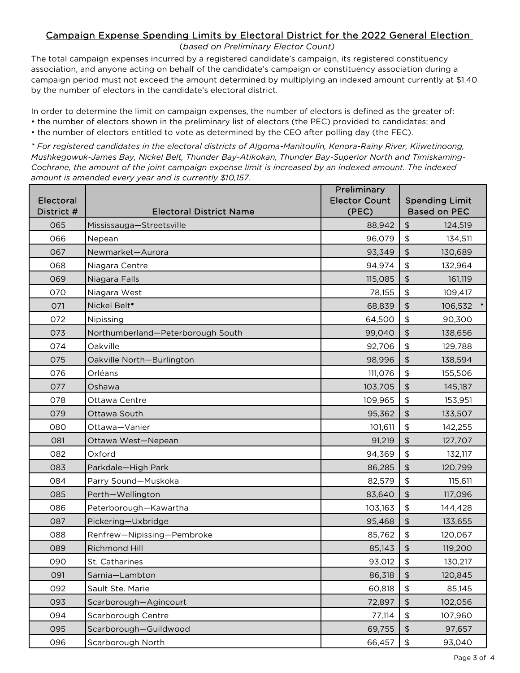### (*based on Preliminary Elector Count)*

The total campaign expenses incurred by a registered candidate's campaign, its registered constituency association, and anyone acting on behalf of the candidate's campaign or constituency association during a campaign period must not exceed the amount determined by multiplying an indexed amount currently at \$1.40 by the number of electors in the candidate's electoral district.

In order to determine the limit on campaign expenses, the number of electors is defined as the greater of: • the number of electors shown in the preliminary list of electors (the PEC) provided to candidates; and • the number of electors entitled to vote as determined by the CEO after polling day (the FEC).

*\* For registered candidates in the electoral districts of Algoma-Manitoulin, Kenora-Rainy River, Kiiwetinoong, Mushkegowuk-James Bay, Nickel Belt, Thunder Bay-Atikokan, Thunder Bay-Superior North and Timiskaming-Cochrane, the amount of the joint campaign expense limit is increased by an indexed amount. The indexed amount is amended every year and is currently \$10,157.*

| Electoral<br>District # | <b>Electoral District Name</b>    | Preliminary<br><b>Elector Count</b><br>(PEC) | <b>Spending Limit</b><br><b>Based on PEC</b>        |
|-------------------------|-----------------------------------|----------------------------------------------|-----------------------------------------------------|
| 065                     | Mississauga-Streetsville          | 88,942                                       | $\frac{1}{2}$<br>124,519                            |
| 066                     | Nepean                            | 96,079                                       | \$<br>134,511                                       |
| 067                     | Newmarket-Aurora                  | 93,349                                       | $\frac{1}{2}$<br>130,689                            |
| 068                     | Niagara Centre                    | 94,974                                       | $\frac{1}{2}$<br>132,964                            |
| 069                     | Niagara Falls                     | 115,085                                      | $\frac{1}{2}$<br>161,119                            |
| 070                     | Niagara West                      | 78,155                                       | $\, \, \$$<br>109,417                               |
| 071                     | Nickel Belt*                      | 68,839                                       | $\updownarrow$<br>106,532                           |
| 072                     | Nipissing                         | 64,500                                       | \$<br>90,300                                        |
| 073                     | Northumberland-Peterborough South | 99,040                                       | $\frac{1}{2}$<br>138,656                            |
| 074                     | Oakville                          | 92,706                                       | \$<br>129,788                                       |
| 075                     | Oakville North-Burlington         | 98,996                                       | $\updownarrow$<br>138,594                           |
| 076                     | Orléans                           | 111,076                                      | $\frac{1}{2}$<br>155,506                            |
| 077                     | Oshawa                            | 103,705                                      | $\frac{1}{2}$<br>145,187                            |
| 078                     | Ottawa Centre                     | 109,965                                      | $\, \, \$$<br>153,951                               |
| 079                     | Ottawa South                      | 95,362                                       | $\updownarrow$<br>133,507                           |
| 080                     | Ottawa-Vanier                     | 101,611                                      | \$<br>142,255                                       |
| 081                     | Ottawa West-Nepean                | 91,219                                       | $\updownarrow$<br>127,707                           |
| 082                     | Oxford                            | 94,369                                       | $\frac{1}{2}$<br>132,117                            |
| 083                     | Parkdale-High Park                | 86,285                                       | $\frac{1}{2}$<br>120,799                            |
| 084                     | Parry Sound-Muskoka               | 82,579                                       | $\, \, \$$<br>115,611                               |
| 085                     | Perth-Wellington                  | 83,640                                       | $\frac{1}{2}$<br>117,096                            |
| 086                     | Peterborough-Kawartha             | 103,163                                      | $\, \, \$$<br>144,428                               |
| 087                     | Pickering-Uxbridge                | 95,468                                       | $\updownarrow$<br>133,655                           |
| 088                     | Renfrew-Nipissing-Pembroke        | 85,762                                       | \$<br>120,067                                       |
| 089                     | Richmond Hill                     | 85,143                                       | \$<br>119,200                                       |
| 090                     | St. Catharines                    | 93,012                                       | \$<br>130,217                                       |
| 091                     | Sarnia-Lambton                    | 86,318                                       | \$<br>120,845                                       |
| 092                     | Sault Ste. Marie                  | 60,818                                       | $\, \, \raisebox{12pt}{$\scriptstyle \$}$<br>85,145 |
| 093                     | Scarborough-Agincourt             | 72,897                                       | $\updownarrow$<br>102,056                           |
| 094                     | Scarborough Centre                | 77,114                                       | \$<br>107,960                                       |
| 095                     | Scarborough-Guildwood             | 69,755                                       | \$<br>97,657                                        |
| 096                     | Scarborough North                 | 66,457                                       | \$<br>93,040                                        |